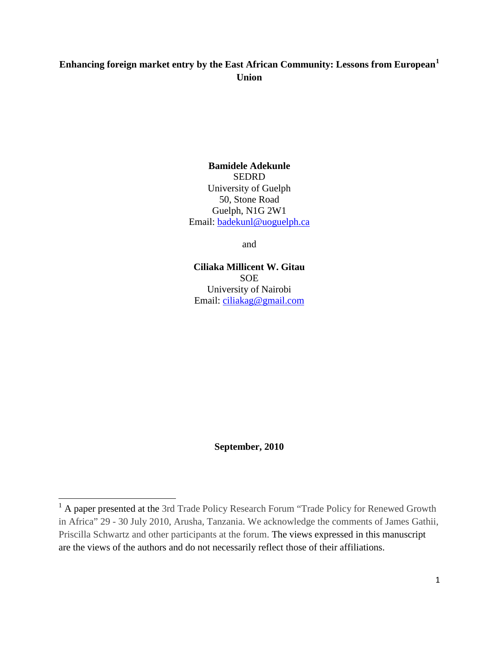# **Enhancing foreign market entry by the East African Community: Lessons from European[1](#page-0-0) Union**

**Bamidele Adekunle** SEDRD University of Guelph 50, Stone Road Guelph, N1G 2W1 Email: [badekunl@uoguelph.ca](mailto:badekunl@uoguelph.ca)

and

**Ciliaka Millicent W. Gitau SOE** University of Nairobi Email: [ciliakag@gmail.com](mailto:ciliakag@gmail.com)

**September, 2010**

ı

<span id="page-0-0"></span><sup>&</sup>lt;sup>1</sup> A paper presented at the 3rd Trade Policy Research Forum "Trade Policy for Renewed Growth in Africa" 29 - 30 July 2010, Arusha, Tanzania. We acknowledge the comments of James Gathii, Priscilla Schwartz and other participants at the forum. The views expressed in this manuscript are the views of the authors and do not necessarily reflect those of their affiliations.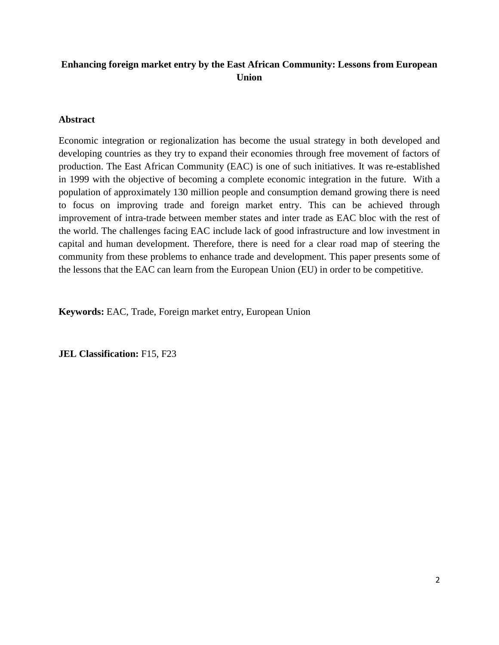# **Enhancing foreign market entry by the East African Community: Lessons from European Union**

# **Abstract**

Economic integration or regionalization has become the usual strategy in both developed and developing countries as they try to expand their economies through free movement of factors of production. The East African Community (EAC) is one of such initiatives. It was re-established in 1999 with the objective of becoming a complete economic integration in the future. With a population of approximately 130 million people and consumption demand growing there is need to focus on improving trade and foreign market entry. This can be achieved through improvement of intra-trade between member states and inter trade as EAC bloc with the rest of the world. The challenges facing EAC include lack of good infrastructure and low investment in capital and human development. Therefore, there is need for a clear road map of steering the community from these problems to enhance trade and development. This paper presents some of the lessons that the EAC can learn from the European Union (EU) in order to be competitive.

**Keywords:** EAC, Trade, Foreign market entry, European Union

**JEL Classification:** F15, F23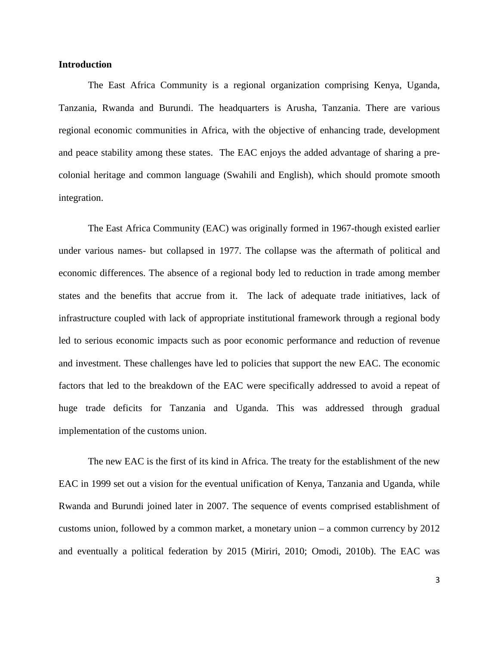#### **Introduction**

The East Africa Community is a regional organization comprising Kenya, Uganda, Tanzania, Rwanda and Burundi. The headquarters is Arusha, Tanzania. There are various regional economic communities in Africa, with the objective of enhancing trade, development and peace stability among these states. The EAC enjoys the added advantage of sharing a precolonial heritage and common language (Swahili and English), which should promote smooth integration.

The East Africa Community (EAC) was originally formed in 1967-though existed earlier under various names- but collapsed in 1977. The collapse was the aftermath of political and economic differences. The absence of a regional body led to reduction in trade among member states and the benefits that accrue from it. The lack of adequate trade initiatives, lack of infrastructure coupled with lack of appropriate institutional framework through a regional body led to serious economic impacts such as poor economic performance and reduction of revenue and investment. These challenges have led to policies that support the new EAC. The economic factors that led to the breakdown of the EAC were specifically addressed to avoid a repeat of huge trade deficits for Tanzania and Uganda. This was addressed through gradual implementation of the customs union.

The new EAC is the first of its kind in Africa. The treaty for the establishment of the new EAC in 1999 set out a vision for the eventual unification of Kenya, Tanzania and Uganda, while Rwanda and Burundi joined later in 2007. The sequence of events comprised establishment of customs union, followed by a common market, a monetary union – a common currency by 2012 and eventually a political federation by 2015 (Miriri, 2010; Omodi, 2010b). The EAC was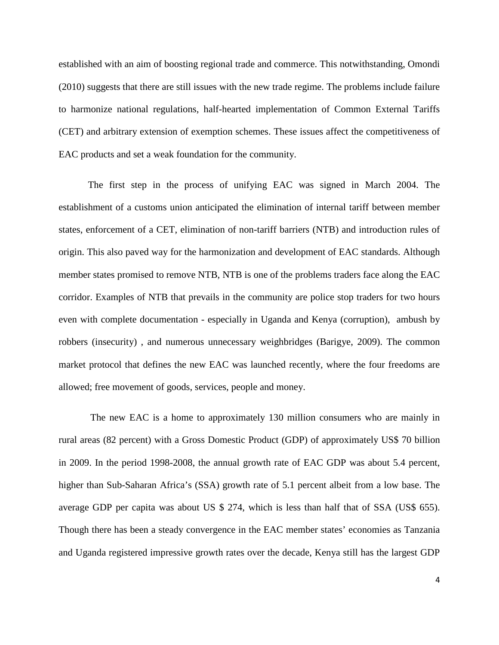established with an aim of boosting regional trade and commerce. This notwithstanding, Omondi (2010) suggests that there are still issues with the new trade regime. The problems include failure to harmonize national regulations, half-hearted implementation of Common External Tariffs (CET) and arbitrary extension of exemption schemes. These issues affect the competitiveness of EAC products and set a weak foundation for the community.

The first step in the process of unifying EAC was signed in March 2004. The establishment of a customs union anticipated the elimination of internal tariff between member states, enforcement of a CET, elimination of non-tariff barriers (NTB) and introduction rules of origin. This also paved way for the harmonization and development of EAC standards. Although member states promised to remove NTB, NTB is one of the problems traders face along the EAC corridor. Examples of NTB that prevails in the community are police stop traders for two hours even with complete documentation - especially in Uganda and Kenya (corruption), ambush by robbers (insecurity) , and numerous unnecessary weighbridges (Barigye, 2009). The common market protocol that defines the new EAC was launched recently, where the four freedoms are allowed; free movement of goods, services, people and money.

The new EAC is a home to approximately 130 million consumers who are mainly in rural areas (82 percent) with a Gross Domestic Product (GDP) of approximately US\$ 70 billion in 2009. In the period 1998-2008, the annual growth rate of EAC GDP was about 5.4 percent, higher than Sub-Saharan Africa's (SSA) growth rate of 5.1 percent albeit from a low base. The average GDP per capita was about US \$ 274, which is less than half that of SSA (US\$ 655). Though there has been a steady convergence in the EAC member states' economies as Tanzania and Uganda registered impressive growth rates over the decade, Kenya still has the largest GDP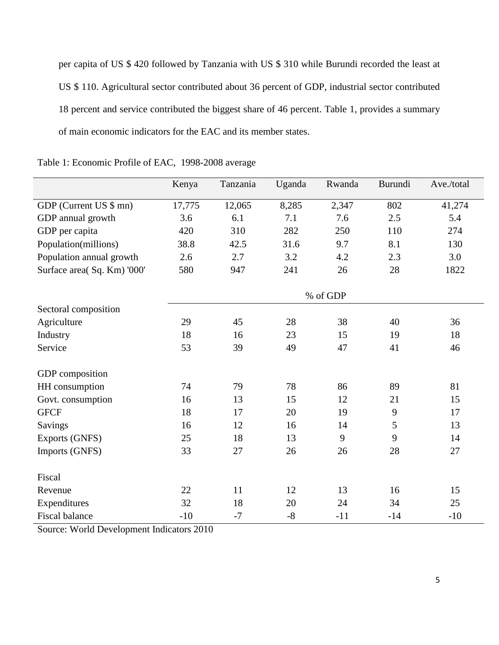per capita of US \$ 420 followed by Tanzania with US \$ 310 while Burundi recorded the least at US \$ 110. Agricultural sector contributed about 36 percent of GDP, industrial sector contributed 18 percent and service contributed the biggest share of 46 percent. Table 1, provides a summary of main economic indicators for the EAC and its member states.

|                             | Kenya    | Tanzania | Uganda | Rwanda | Burundi | Ave./total |  |  |
|-----------------------------|----------|----------|--------|--------|---------|------------|--|--|
| GDP (Current US \$ mn)      | 17,775   | 12,065   | 8,285  | 2,347  | 802     | 41,274     |  |  |
|                             |          |          |        |        |         |            |  |  |
| GDP annual growth           | 3.6      | 6.1      | 7.1    | 7.6    | 2.5     | 5.4        |  |  |
| GDP per capita              | 420      | 310      | 282    | 250    | 110     | 274        |  |  |
| Population(millions)        | 38.8     | 42.5     | 31.6   | 9.7    | 8.1     | 130        |  |  |
| Population annual growth    | 2.6      | 2.7      | 3.2    | 4.2    | 2.3     | 3.0        |  |  |
| Surface area( Sq. Km) '000' | 580      | 947      | 241    | 26     | 28      | 1822       |  |  |
|                             | % of GDP |          |        |        |         |            |  |  |
| Sectoral composition        |          |          |        |        |         |            |  |  |
| Agriculture                 | 29       | 45       | 28     | 38     | 40      | 36         |  |  |
| Industry                    | 18       | 16       | 23     | 15     | 19      | 18         |  |  |
| Service                     | 53       | 39       | 49     | 47     | 41      | 46         |  |  |
| GDP composition             |          |          |        |        |         |            |  |  |
| HH consumption              | 74       | 79       | 78     | 86     | 89      | 81         |  |  |
| Govt. consumption           | 16       | 13       | 15     | 12     | 21      | 15         |  |  |
| <b>GFCF</b>                 | 18       | 17       | 20     | 19     | 9       | 17         |  |  |
| <b>Savings</b>              | 16       | 12       | 16     | 14     | 5       | 13         |  |  |
| <b>Exports (GNFS)</b>       | 25       | 18       | 13     | 9      | 9       | 14         |  |  |
| Imports (GNFS)              | 33       | 27       | 26     | 26     | 28      | 27         |  |  |
| Fiscal                      |          |          |        |        |         |            |  |  |
| Revenue                     | 22       | 11       | 12     | 13     | 16      | 15         |  |  |
| Expenditures                | 32       | 18       | 20     | 24     | 34      | 25         |  |  |
| <b>Fiscal balance</b>       | $-10$    | $-7$     | $-8$   | $-11$  | $-14$   | $-10$      |  |  |

Table 1: Economic Profile of EAC, 1998-2008 average

Source: World Development Indicators 2010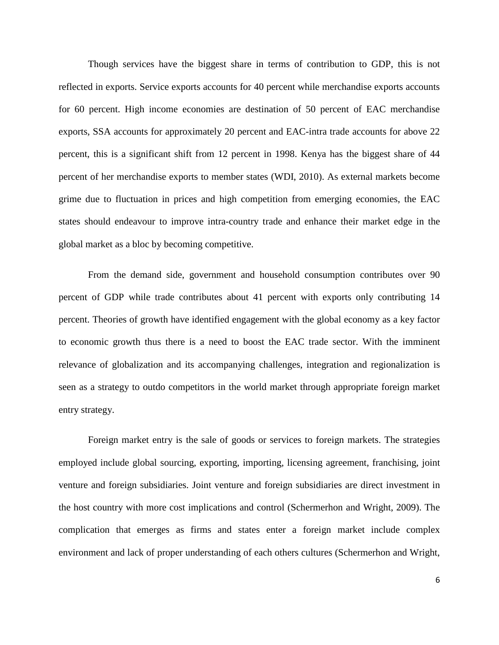Though services have the biggest share in terms of contribution to GDP, this is not reflected in exports. Service exports accounts for 40 percent while merchandise exports accounts for 60 percent. High income economies are destination of 50 percent of EAC merchandise exports, SSA accounts for approximately 20 percent and EAC-intra trade accounts for above 22 percent, this is a significant shift from 12 percent in 1998. Kenya has the biggest share of 44 percent of her merchandise exports to member states (WDI, 2010). As external markets become grime due to fluctuation in prices and high competition from emerging economies, the EAC states should endeavour to improve intra-country trade and enhance their market edge in the global market as a bloc by becoming competitive.

From the demand side, government and household consumption contributes over 90 percent of GDP while trade contributes about 41 percent with exports only contributing 14 percent. Theories of growth have identified engagement with the global economy as a key factor to economic growth thus there is a need to boost the EAC trade sector. With the imminent relevance of globalization and its accompanying challenges, integration and regionalization is seen as a strategy to outdo competitors in the world market through appropriate foreign market entry strategy.

Foreign market entry is the sale of goods or services to foreign markets. The strategies employed include global sourcing, exporting, importing, licensing agreement, franchising, joint venture and foreign subsidiaries. Joint venture and foreign subsidiaries are direct investment in the host country with more cost implications and control (Schermerhon and Wright, 2009). The complication that emerges as firms and states enter a foreign market include complex environment and lack of proper understanding of each others cultures (Schermerhon and Wright,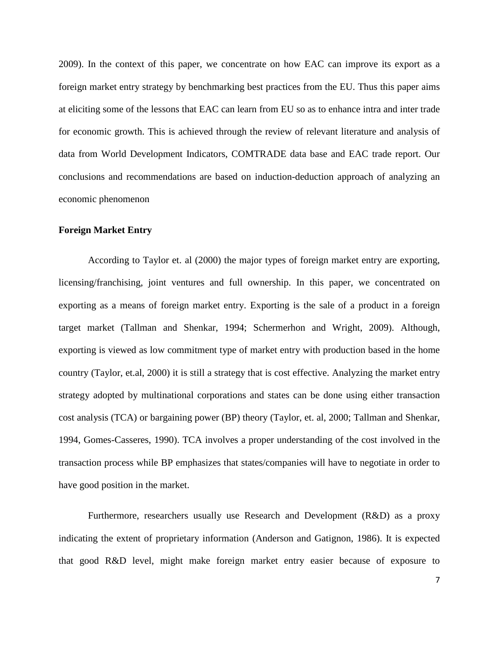2009). In the context of this paper, we concentrate on how EAC can improve its export as a foreign market entry strategy by benchmarking best practices from the EU. Thus this paper aims at eliciting some of the lessons that EAC can learn from EU so as to enhance intra and inter trade for economic growth. This is achieved through the review of relevant literature and analysis of data from World Development Indicators, COMTRADE data base and EAC trade report. Our conclusions and recommendations are based on induction-deduction approach of analyzing an economic phenomenon

#### **Foreign Market Entry**

According to Taylor et. al (2000) the major types of foreign market entry are exporting, licensing/franchising, joint ventures and full ownership. In this paper, we concentrated on exporting as a means of foreign market entry. Exporting is the sale of a product in a foreign target market (Tallman and Shenkar, 1994; Schermerhon and Wright, 2009). Although, exporting is viewed as low commitment type of market entry with production based in the home country (Taylor, et.al, 2000) it is still a strategy that is cost effective. Analyzing the market entry strategy adopted by multinational corporations and states can be done using either transaction cost analysis (TCA) or bargaining power (BP) theory (Taylor, et. al, 2000; Tallman and Shenkar, 1994, Gomes-Casseres, 1990). TCA involves a proper understanding of the cost involved in the transaction process while BP emphasizes that states/companies will have to negotiate in order to have good position in the market.

Furthermore, researchers usually use Research and Development (R&D) as a proxy indicating the extent of proprietary information (Anderson and Gatignon, 1986). It is expected that good R&D level, might make foreign market entry easier because of exposure to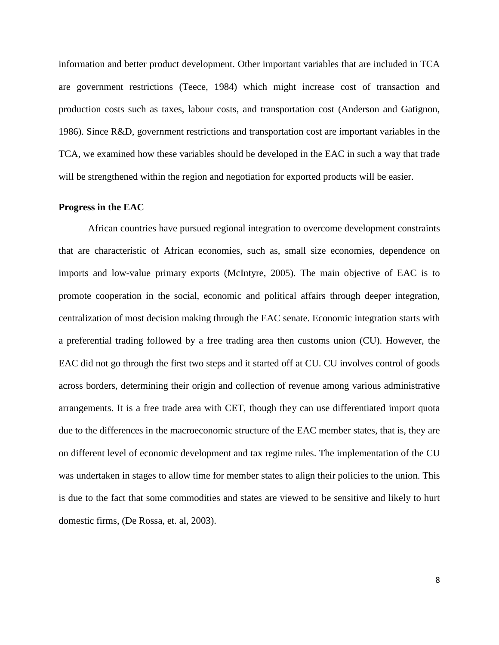information and better product development. Other important variables that are included in TCA are government restrictions (Teece, 1984) which might increase cost of transaction and production costs such as taxes, labour costs, and transportation cost (Anderson and Gatignon, 1986). Since R&D, government restrictions and transportation cost are important variables in the TCA, we examined how these variables should be developed in the EAC in such a way that trade will be strengthened within the region and negotiation for exported products will be easier.

#### **Progress in the EAC**

African countries have pursued regional integration to overcome development constraints that are characteristic of African economies, such as, small size economies, dependence on imports and low-value primary exports (McIntyre, 2005). The main objective of EAC is to promote cooperation in the social, economic and political affairs through deeper integration, centralization of most decision making through the EAC senate. Economic integration starts with a preferential trading followed by a free trading area then customs union (CU). However, the EAC did not go through the first two steps and it started off at CU. CU involves control of goods across borders, determining their origin and collection of revenue among various administrative arrangements. It is a free trade area with CET, though they can use differentiated import quota due to the differences in the macroeconomic structure of the EAC member states, that is, they are on different level of economic development and tax regime rules. The implementation of the CU was undertaken in stages to allow time for member states to align their policies to the union. This is due to the fact that some commodities and states are viewed to be sensitive and likely to hurt domestic firms, (De Rossa, et. al, 2003).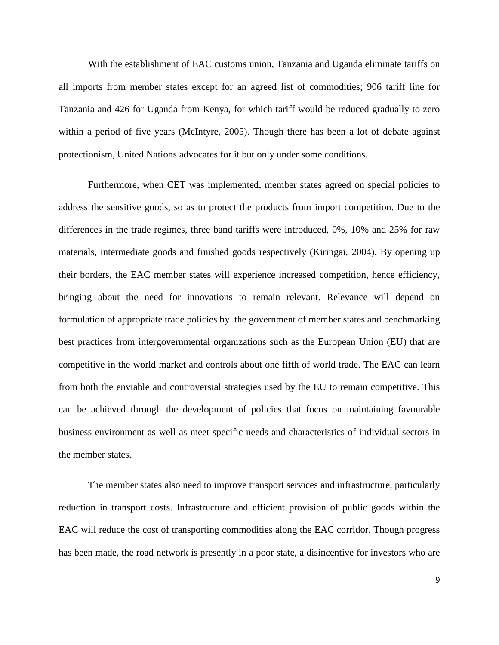With the establishment of EAC customs union, Tanzania and Uganda eliminate tariffs on all imports from member states except for an agreed list of commodities; 906 tariff line for Tanzania and 426 for Uganda from Kenya, for which tariff would be reduced gradually to zero within a period of five years (McIntyre, 2005). Though there has been a lot of debate against protectionism, United Nations advocates for it but only under some conditions.

Furthermore, when CET was implemented, member states agreed on special policies to address the sensitive goods, so as to protect the products from import competition. Due to the differences in the trade regimes, three band tariffs were introduced, 0%, 10% and 25% for raw materials, intermediate goods and finished goods respectively (Kiringai, 2004). By opening up their borders, the EAC member states will experience increased competition, hence efficiency, bringing about the need for innovations to remain relevant. Relevance will depend on formulation of appropriate trade policies by the government of member states and benchmarking best practices from intergovernmental organizations such as the European Union (EU) that are competitive in the world market and controls about one fifth of world trade. The EAC can learn from both the enviable and controversial strategies used by the EU to remain competitive. This can be achieved through the development of policies that focus on maintaining favourable business environment as well as meet specific needs and characteristics of individual sectors in the member states.

The member states also need to improve transport services and infrastructure, particularly reduction in transport costs. Infrastructure and efficient provision of public goods within the EAC will reduce the cost of transporting commodities along the EAC corridor. Though progress has been made, the road network is presently in a poor state, a disincentive for investors who are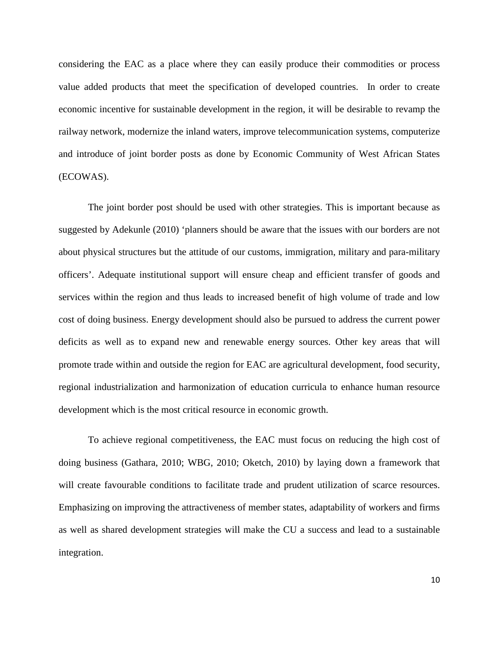considering the EAC as a place where they can easily produce their commodities or process value added products that meet the specification of developed countries. In order to create economic incentive for sustainable development in the region, it will be desirable to revamp the railway network, modernize the inland waters, improve telecommunication systems, computerize and introduce of joint border posts as done by Economic Community of West African States (ECOWAS).

The joint border post should be used with other strategies. This is important because as suggested by Adekunle (2010) 'planners should be aware that the issues with our borders are not about physical structures but the attitude of our customs, immigration, military and para-military officers'. Adequate institutional support will ensure cheap and efficient transfer of goods and services within the region and thus leads to increased benefit of high volume of trade and low cost of doing business. Energy development should also be pursued to address the current power deficits as well as to expand new and renewable energy sources. Other key areas that will promote trade within and outside the region for EAC are agricultural development, food security, regional industrialization and harmonization of education curricula to enhance human resource development which is the most critical resource in economic growth.

To achieve regional competitiveness, the EAC must focus on reducing the high cost of doing business (Gathara, 2010; WBG, 2010; Oketch, 2010) by laying down a framework that will create favourable conditions to facilitate trade and prudent utilization of scarce resources. Emphasizing on improving the attractiveness of member states, adaptability of workers and firms as well as shared development strategies will make the CU a success and lead to a sustainable integration.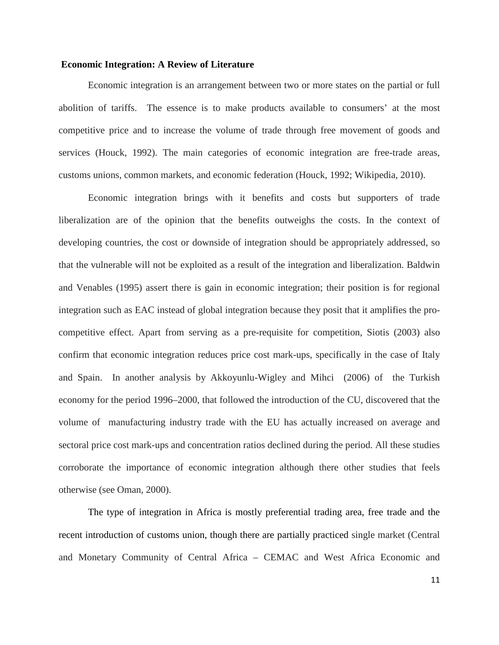#### **Economic Integration: A Review of Literature**

Economic integration is an arrangement between two or more states on the partial or full abolition of tariffs. The essence is to make products available to consumers' at the most competitive price and to increase the volume of trade through free movement of goods and services (Houck, 1992). The main categories of economic integration are free-trade areas, customs unions, common markets, and economic federation (Houck, 1992; Wikipedia, 2010).

Economic integration brings with it benefits and costs but supporters of trade liberalization are of the opinion that the benefits outweighs the costs. In the context of developing countries, the cost or downside of integration should be appropriately addressed, so that the vulnerable will not be exploited as a result of the integration and liberalization. Baldwin and Venables (1995) assert there is gain in economic integration; their position is for regional integration such as EAC instead of global integration because they posit that it amplifies the procompetitive effect. Apart from serving as a pre-requisite for competition, Siotis (2003) also confirm that economic integration reduces price cost mark-ups, specifically in the case of Italy and Spain. In another analysis by Akkoyunlu-Wigley and Mihci (2006) of the Turkish economy for the period 1996–2000, that followed the introduction of the CU, discovered that the volume of manufacturing industry trade with the EU has actually increased on average and sectoral price cost mark-ups and concentration ratios declined during the period. All these studies corroborate the importance of economic integration although there other studies that feels otherwise (see Oman, 2000).

The type of integration in Africa is mostly preferential trading area, free trade and the recent introduction of customs union, though there are partially practiced single market (Central and Monetary Community of Central Africa – CEMAC and West Africa Economic and

11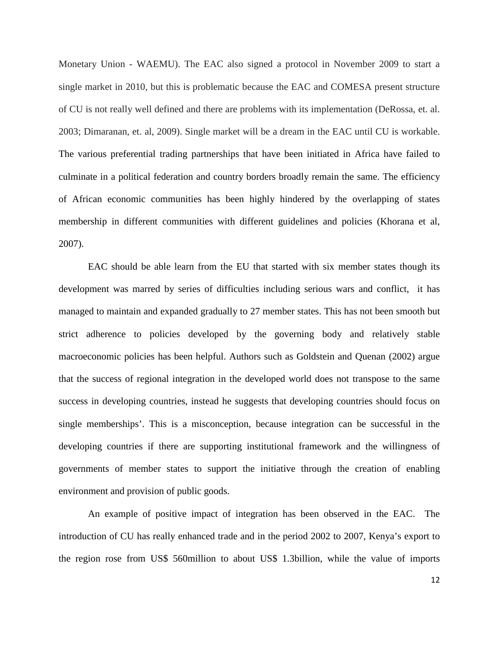Monetary Union - WAEMU). The EAC also signed a protocol in November 2009 to start a single market in 2010, but this is problematic because the EAC and COMESA present structure of CU is not really well defined and there are problems with its implementation (DeRossa, et. al. 2003; Dimaranan, et. al, 2009). Single market will be a dream in the EAC until CU is workable. The various preferential trading partnerships that have been initiated in Africa have failed to culminate in a political federation and country borders broadly remain the same. The efficiency of African economic communities has been highly hindered by the overlapping of states membership in different communities with different guidelines and policies (Khorana et al, 2007).

EAC should be able learn from the EU that started with six member states though its development was marred by series of difficulties including serious wars and conflict, it has managed to maintain and expanded gradually to 27 member states. This has not been smooth but strict adherence to policies developed by the governing body and relatively stable macroeconomic policies has been helpful. Authors such as Goldstein and Quenan (2002) argue that the success of regional integration in the developed world does not transpose to the same success in developing countries, instead he suggests that developing countries should focus on single memberships'. This is a misconception, because integration can be successful in the developing countries if there are supporting institutional framework and the willingness of governments of member states to support the initiative through the creation of enabling environment and provision of public goods.

An example of positive impact of integration has been observed in the EAC. The introduction of CU has really enhanced trade and in the period 2002 to 2007, Kenya's export to the region rose from US\$ 560million to about US\$ 1.3billion, while the value of imports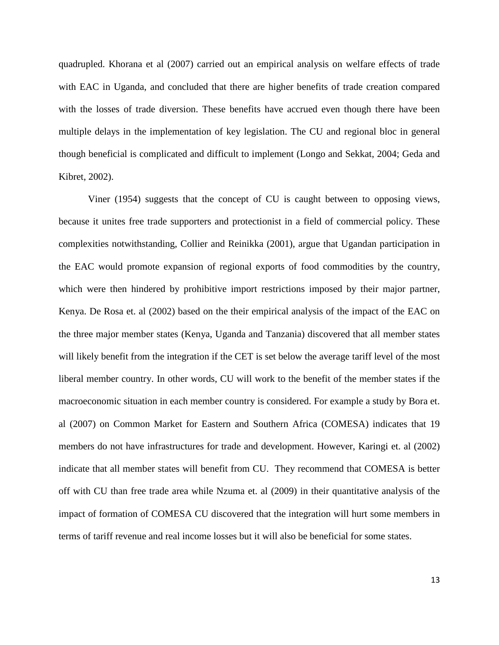quadrupled. Khorana et al (2007) carried out an empirical analysis on welfare effects of trade with EAC in Uganda, and concluded that there are higher benefits of trade creation compared with the losses of trade diversion. These benefits have accrued even though there have been multiple delays in the implementation of key legislation. The CU and regional bloc in general though beneficial is complicated and difficult to implement (Longo and Sekkat, 2004; Geda and Kibret, 2002).

Viner (1954) suggests that the concept of CU is caught between to opposing views, because it unites free trade supporters and protectionist in a field of commercial policy. These complexities notwithstanding, Collier and Reinikka (2001), argue that Ugandan participation in the EAC would promote expansion of regional exports of food commodities by the country, which were then hindered by prohibitive import restrictions imposed by their major partner, Kenya. De Rosa et. al (2002) based on the their empirical analysis of the impact of the EAC on the three major member states (Kenya, Uganda and Tanzania) discovered that all member states will likely benefit from the integration if the CET is set below the average tariff level of the most liberal member country. In other words, CU will work to the benefit of the member states if the macroeconomic situation in each member country is considered. For example a study by Bora et. al (2007) on Common Market for Eastern and Southern Africa (COMESA) indicates that 19 members do not have infrastructures for trade and development. However, Karingi et. al (2002) indicate that all member states will benefit from CU. They recommend that COMESA is better off with CU than free trade area while Nzuma et. al (2009) in their quantitative analysis of the impact of formation of COMESA CU discovered that the integration will hurt some members in terms of tariff revenue and real income losses but it will also be beneficial for some states.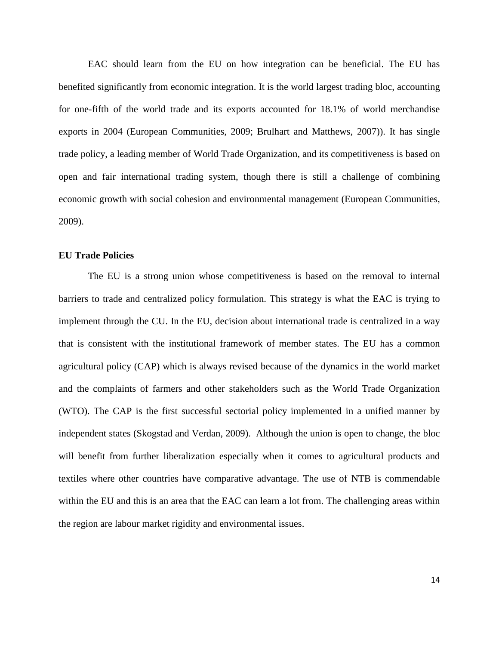EAC should learn from the EU on how integration can be beneficial. The EU has benefited significantly from economic integration. It is the world largest trading bloc, accounting for one-fifth of the world trade and its exports accounted for 18.1% of world merchandise exports in 2004 (European Communities, 2009; Brulhart and Matthews, 2007)). It has single trade policy, a leading member of World Trade Organization, and its competitiveness is based on open and fair international trading system, though there is still a challenge of combining economic growth with social cohesion and environmental management (European Communities, 2009).

# **EU Trade Policies**

The EU is a strong union whose competitiveness is based on the removal to internal barriers to trade and centralized policy formulation. This strategy is what the EAC is trying to implement through the CU. In the EU, decision about international trade is centralized in a way that is consistent with the institutional framework of member states. The EU has a common agricultural policy (CAP) which is always revised because of the dynamics in the world market and the complaints of farmers and other stakeholders such as the World Trade Organization (WTO). The CAP is the first successful sectorial policy implemented in a unified manner by independent states (Skogstad and Verdan, 2009). Although the union is open to change, the bloc will benefit from further liberalization especially when it comes to agricultural products and textiles where other countries have comparative advantage. The use of NTB is commendable within the EU and this is an area that the EAC can learn a lot from. The challenging areas within the region are labour market rigidity and environmental issues.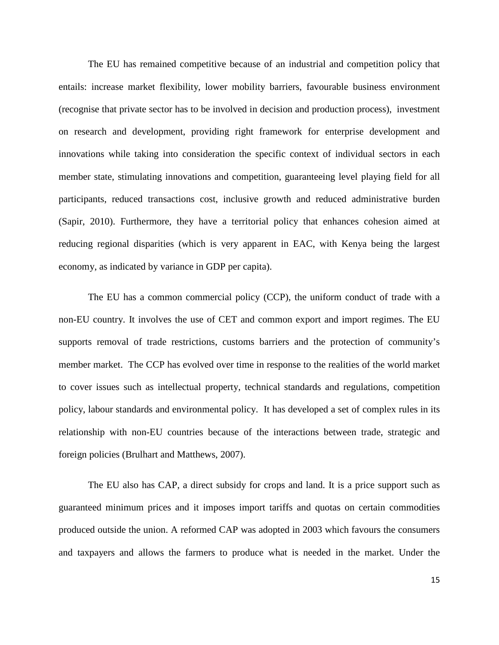The EU has remained competitive because of an industrial and competition policy that entails: increase market flexibility, lower mobility barriers, favourable business environment (recognise that private sector has to be involved in decision and production process), investment on research and development, providing right framework for enterprise development and innovations while taking into consideration the specific context of individual sectors in each member state, stimulating innovations and competition, guaranteeing level playing field for all participants, reduced transactions cost, inclusive growth and reduced administrative burden (Sapir, 2010). Furthermore, they have a territorial policy that enhances cohesion aimed at reducing regional disparities (which is very apparent in EAC, with Kenya being the largest economy, as indicated by variance in GDP per capita).

The EU has a common commercial policy (CCP), the uniform conduct of trade with a non-EU country. It involves the use of CET and common export and import regimes. The EU supports removal of trade restrictions, customs barriers and the protection of community's member market. The CCP has evolved over time in response to the realities of the world market to cover issues such as intellectual property, technical standards and regulations, competition policy, labour standards and environmental policy. It has developed a set of complex rules in its relationship with non-EU countries because of the interactions between trade, strategic and foreign policies (Brulhart and Matthews, 2007).

The EU also has CAP, a direct subsidy for crops and land. It is a price support such as guaranteed minimum prices and it imposes import tariffs and quotas on certain commodities produced outside the union. A reformed CAP was adopted in 2003 which favours the consumers and taxpayers and allows the farmers to produce what is needed in the market. Under the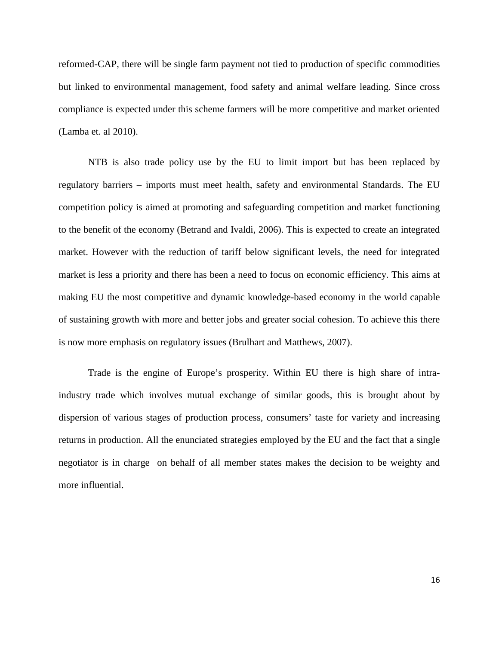reformed-CAP, there will be single farm payment not tied to production of specific commodities but linked to environmental management, food safety and animal welfare leading. Since cross compliance is expected under this scheme farmers will be more competitive and market oriented (Lamba et. al 2010).

NTB is also trade policy use by the EU to limit import but has been replaced by regulatory barriers – imports must meet health, safety and environmental Standards. The EU competition policy is aimed at promoting and safeguarding competition and market functioning to the benefit of the economy (Betrand and Ivaldi, 2006). This is expected to create an integrated market. However with the reduction of tariff below significant levels, the need for integrated market is less a priority and there has been a need to focus on economic efficiency. This aims at making EU the most competitive and dynamic knowledge-based economy in the world capable of sustaining growth with more and better jobs and greater social cohesion. To achieve this there is now more emphasis on regulatory issues (Brulhart and Matthews, 2007).

Trade is the engine of Europe's prosperity. Within EU there is high share of intraindustry trade which involves mutual exchange of similar goods, this is brought about by dispersion of various stages of production process, consumers' taste for variety and increasing returns in production. All the enunciated strategies employed by the EU and the fact that a single negotiator is in charge on behalf of all member states makes the decision to be weighty and more influential.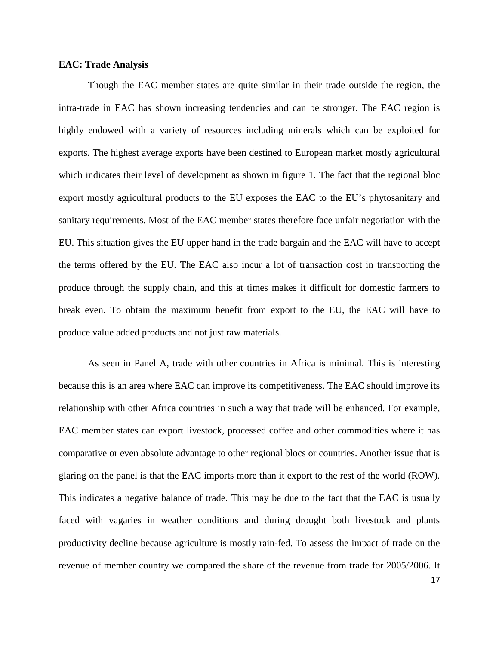### **EAC: Trade Analysis**

Though the EAC member states are quite similar in their trade outside the region, the intra-trade in EAC has shown increasing tendencies and can be stronger. The EAC region is highly endowed with a variety of resources including minerals which can be exploited for exports. The highest average exports have been destined to European market mostly agricultural which indicates their level of development as shown in figure 1. The fact that the regional bloc export mostly agricultural products to the EU exposes the EAC to the EU's phytosanitary and sanitary requirements. Most of the EAC member states therefore face unfair negotiation with the EU. This situation gives the EU upper hand in the trade bargain and the EAC will have to accept the terms offered by the EU. The EAC also incur a lot of transaction cost in transporting the produce through the supply chain, and this at times makes it difficult for domestic farmers to break even. To obtain the maximum benefit from export to the EU, the EAC will have to produce value added products and not just raw materials.

As seen in Panel A, trade with other countries in Africa is minimal. This is interesting because this is an area where EAC can improve its competitiveness. The EAC should improve its relationship with other Africa countries in such a way that trade will be enhanced. For example, EAC member states can export livestock, processed coffee and other commodities where it has comparative or even absolute advantage to other regional blocs or countries. Another issue that is glaring on the panel is that the EAC imports more than it export to the rest of the world (ROW). This indicates a negative balance of trade. This may be due to the fact that the EAC is usually faced with vagaries in weather conditions and during drought both livestock and plants productivity decline because agriculture is mostly rain-fed. To assess the impact of trade on the revenue of member country we compared the share of the revenue from trade for 2005/2006. It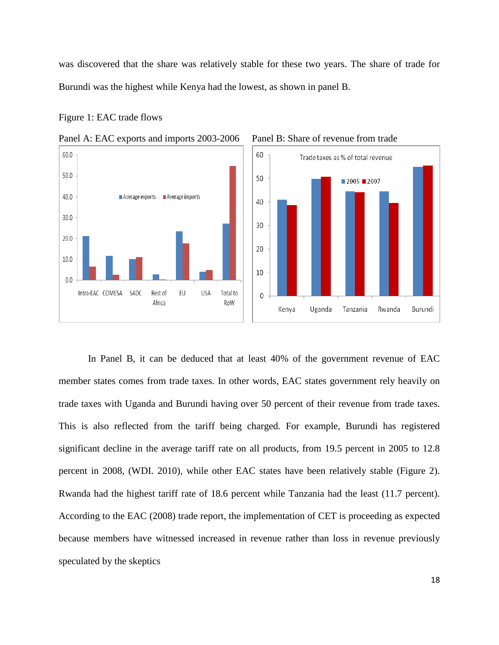was discovered that the share was relatively stable for these two years. The share of trade for Burundi was the highest while Kenya had the lowest, as shown in panel B.

Figure 1: EAC trade flows









In Panel B, it can be deduced that at least 40% of the government revenue of EAC member states comes from trade taxes. In other words, EAC states government rely heavily on trade taxes with Uganda and Burundi having over 50 percent of their revenue from trade taxes. This is also reflected from the tariff being charged. For example, Burundi has registered significant decline in the average tariff rate on all products, from 19.5 percent in 2005 to 12.8 percent in 2008, (WDI. 2010), while other EAC states have been relatively stable (Figure 2). Rwanda had the highest tariff rate of 18.6 percent while Tanzania had the least (11.7 percent). According to the EAC (2008) trade report, the implementation of CET is proceeding as expected because members have witnessed increased in revenue rather than loss in revenue previously speculated by the skeptics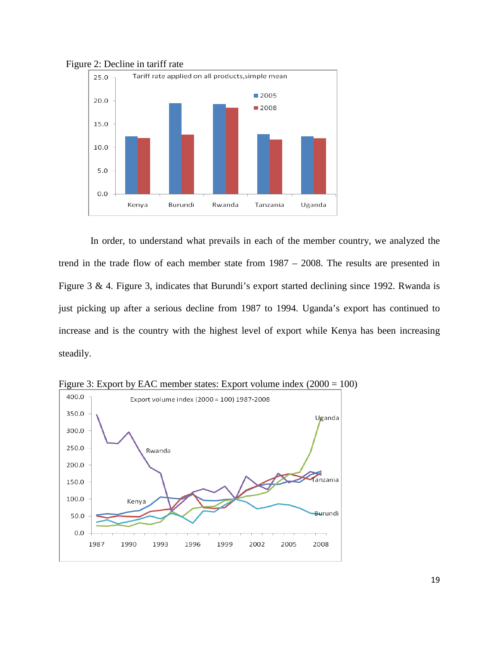

Figure 2: Decline in tariff rate

In order, to understand what prevails in each of the member country, we analyzed the trend in the trade flow of each member state from 1987 – 2008. The results are presented in Figure 3 & 4. Figure 3, indicates that Burundi's export started declining since 1992. Rwanda is just picking up after a serious decline from 1987 to 1994. Uganda's export has continued to increase and is the country with the highest level of export while Kenya has been increasing steadily.



Figure 3: Export by EAC member states: Export volume index (2000 = 100)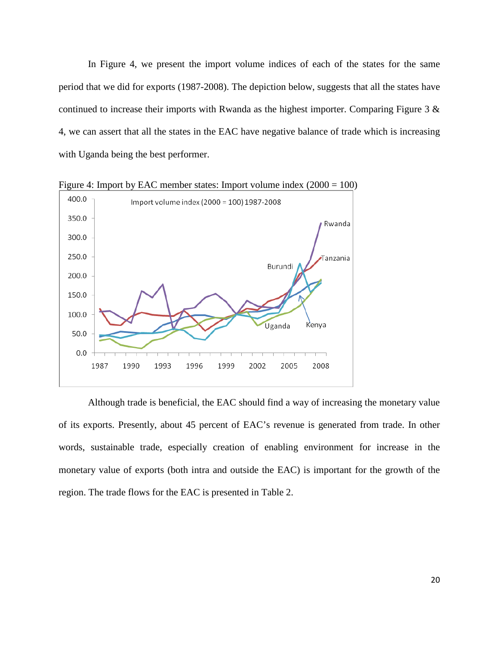In Figure 4, we present the import volume indices of each of the states for the same period that we did for exports (1987-2008). The depiction below, suggests that all the states have continued to increase their imports with Rwanda as the highest importer. Comparing Figure 3 & 4, we can assert that all the states in the EAC have negative balance of trade which is increasing with Uganda being the best performer.



Figure 4: Import by EAC member states: Import volume index (2000 = 100)

Although trade is beneficial, the EAC should find a way of increasing the monetary value of its exports. Presently, about 45 percent of EAC's revenue is generated from trade. In other words, sustainable trade, especially creation of enabling environment for increase in the monetary value of exports (both intra and outside the EAC) is important for the growth of the region. The trade flows for the EAC is presented in Table 2.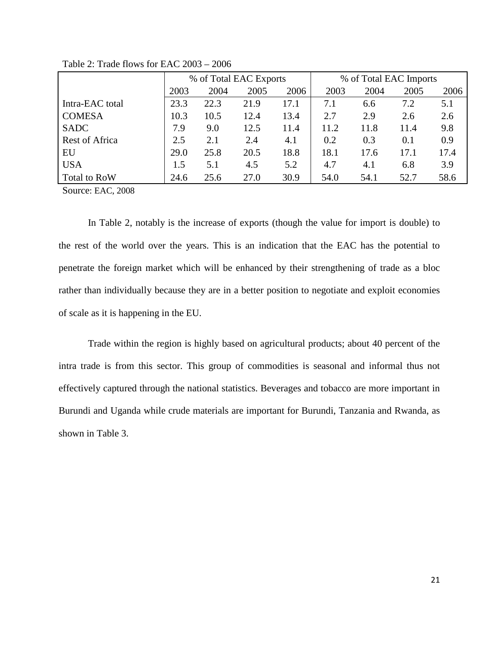|                       | % of Total EAC Exports |      |      |      | % of Total EAC Imports |      |      |      |  |
|-----------------------|------------------------|------|------|------|------------------------|------|------|------|--|
|                       | 2003                   | 2004 | 2005 | 2006 | 2003                   | 2004 | 2005 | 2006 |  |
| Intra-EAC total       | 23.3                   | 22.3 | 21.9 | 17.1 | 7.1                    | 6.6  | 7.2  | 5.1  |  |
| <b>COMESA</b>         | 10.3                   | 10.5 | 12.4 | 13.4 | 2.7                    | 2.9  | 2.6  | 2.6  |  |
| <b>SADC</b>           | 7.9                    | 9.0  | 12.5 | 11.4 | 11.2                   | 11.8 | 11.4 | 9.8  |  |
| <b>Rest of Africa</b> | 2.5                    | 2.1  | 2.4  | 4.1  | 0.2                    | 0.3  | 0.1  | 0.9  |  |
| EU                    | 29.0                   | 25.8 | 20.5 | 18.8 | 18.1                   | 17.6 | 17.1 | 17.4 |  |
| <b>USA</b>            | 1.5                    | 5.1  | 4.5  | 5.2  | 4.7                    | 4.1  | 6.8  | 3.9  |  |
| Total to RoW          | 24.6                   | 25.6 | 27.0 | 30.9 | 54.0                   | 54.1 | 52.7 | 58.6 |  |

Table 2: Trade flows for EAC 2003 – 2006

Source: EAC, 2008

In Table 2, notably is the increase of exports (though the value for import is double) to the rest of the world over the years. This is an indication that the EAC has the potential to penetrate the foreign market which will be enhanced by their strengthening of trade as a bloc rather than individually because they are in a better position to negotiate and exploit economies of scale as it is happening in the EU.

Trade within the region is highly based on agricultural products; about 40 percent of the intra trade is from this sector. This group of commodities is seasonal and informal thus not effectively captured through the national statistics. Beverages and tobacco are more important in Burundi and Uganda while crude materials are important for Burundi, Tanzania and Rwanda, as shown in Table 3.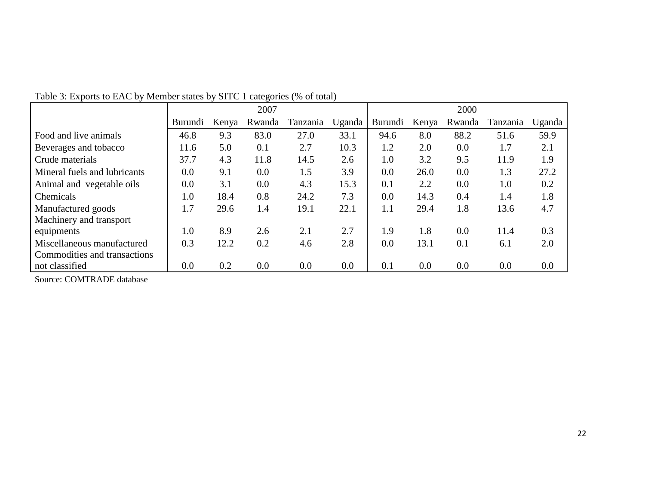|                              |                |       | 2007   |          |        |         |       | 2000   |          |        |
|------------------------------|----------------|-------|--------|----------|--------|---------|-------|--------|----------|--------|
|                              | <b>Burundi</b> | Kenya | Rwanda | Tanzania | Uganda | Burundi | Kenya | Rwanda | Tanzania | Uganda |
| Food and live animals        | 46.8           | 9.3   | 83.0   | 27.0     | 33.1   | 94.6    | 8.0   | 88.2   | 51.6     | 59.9   |
| Beverages and tobacco        | 11.6           | 5.0   | 0.1    | 2.7      | 10.3   | 1.2     | 2.0   | 0.0    | 1.7      | 2.1    |
| Crude materials              | 37.7           | 4.3   | 11.8   | 14.5     | 2.6    | 1.0     | 3.2   | 9.5    | 11.9     | 1.9    |
| Mineral fuels and lubricants | 0.0            | 9.1   | 0.0    | 1.5      | 3.9    | 0.0     | 26.0  | 0.0    | 1.3      | 27.2   |
| Animal and vegetable oils    | 0.0            | 3.1   | 0.0    | 4.3      | 15.3   | 0.1     | 2.2   | 0.0    | 1.0      | 0.2    |
| Chemicals                    | 1.0            | 18.4  | 0.8    | 24.2     | 7.3    | 0.0     | 14.3  | 0.4    | 1.4      | 1.8    |
| Manufactured goods           | 1.7            | 29.6  | 1.4    | 19.1     | 22.1   | 1.1     | 29.4  | 1.8    | 13.6     | 4.7    |
| Machinery and transport      |                |       |        |          |        |         |       |        |          |        |
| equipments                   | 1.0            | 8.9   | 2.6    | 2.1      | 2.7    | 1.9     | 1.8   | 0.0    | 11.4     | 0.3    |
| Miscellaneous manufactured   | 0.3            | 12.2  | 0.2    | 4.6      | 2.8    | 0.0     | 13.1  | 0.1    | 6.1      | 2.0    |
| Commodities and transactions |                |       |        |          |        |         |       |        |          |        |
| not classified               | 0.0            | 0.2   | 0.0    | 0.0      | 0.0    | 0.1     | 0.0   | 0.0    | 0.0      | 0.0    |

Table 3: Exports to EAC by Member states by SITC 1 categories (% of total)

Source: COMTRADE database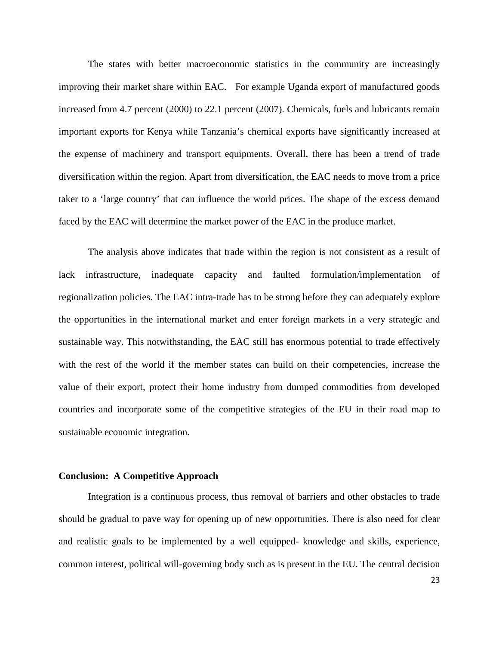The states with better macroeconomic statistics in the community are increasingly improving their market share within EAC. For example Uganda export of manufactured goods increased from 4.7 percent (2000) to 22.1 percent (2007). Chemicals, fuels and lubricants remain important exports for Kenya while Tanzania's chemical exports have significantly increased at the expense of machinery and transport equipments. Overall, there has been a trend of trade diversification within the region. Apart from diversification, the EAC needs to move from a price taker to a 'large country' that can influence the world prices. The shape of the excess demand faced by the EAC will determine the market power of the EAC in the produce market.

The analysis above indicates that trade within the region is not consistent as a result of lack infrastructure, inadequate capacity and faulted formulation/implementation of regionalization policies. The EAC intra-trade has to be strong before they can adequately explore the opportunities in the international market and enter foreign markets in a very strategic and sustainable way. This notwithstanding, the EAC still has enormous potential to trade effectively with the rest of the world if the member states can build on their competencies, increase the value of their export, protect their home industry from dumped commodities from developed countries and incorporate some of the competitive strategies of the EU in their road map to sustainable economic integration.

#### **Conclusion: A Competitive Approach**

Integration is a continuous process, thus removal of barriers and other obstacles to trade should be gradual to pave way for opening up of new opportunities. There is also need for clear and realistic goals to be implemented by a well equipped- knowledge and skills, experience, common interest, political will-governing body such as is present in the EU. The central decision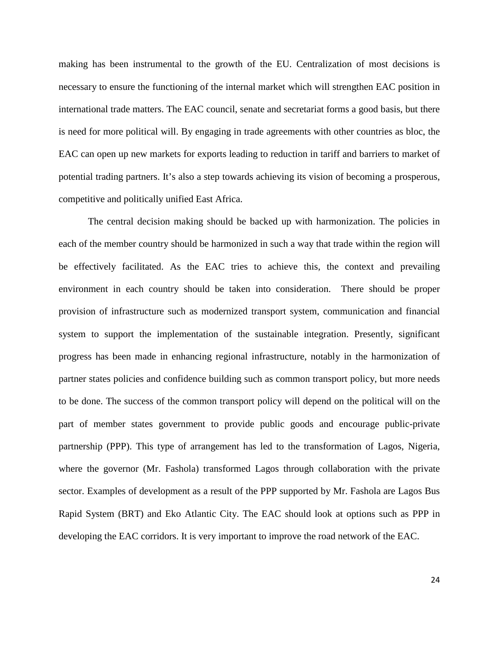making has been instrumental to the growth of the EU. Centralization of most decisions is necessary to ensure the functioning of the internal market which will strengthen EAC position in international trade matters. The EAC council, senate and secretariat forms a good basis, but there is need for more political will. By engaging in trade agreements with other countries as bloc, the EAC can open up new markets for exports leading to reduction in tariff and barriers to market of potential trading partners. It's also a step towards achieving its vision of becoming a prosperous, competitive and politically unified East Africa.

The central decision making should be backed up with harmonization. The policies in each of the member country should be harmonized in such a way that trade within the region will be effectively facilitated. As the EAC tries to achieve this, the context and prevailing environment in each country should be taken into consideration. There should be proper provision of infrastructure such as modernized transport system, communication and financial system to support the implementation of the sustainable integration. Presently, significant progress has been made in enhancing regional infrastructure, notably in the harmonization of partner states policies and confidence building such as common transport policy, but more needs to be done. The success of the common transport policy will depend on the political will on the part of member states government to provide public goods and encourage public-private partnership (PPP). This type of arrangement has led to the transformation of Lagos, Nigeria, where the governor (Mr. Fashola) transformed Lagos through collaboration with the private sector. Examples of development as a result of the PPP supported by Mr. Fashola are Lagos Bus Rapid System (BRT) and Eko Atlantic City. The EAC should look at options such as PPP in developing the EAC corridors. It is very important to improve the road network of the EAC.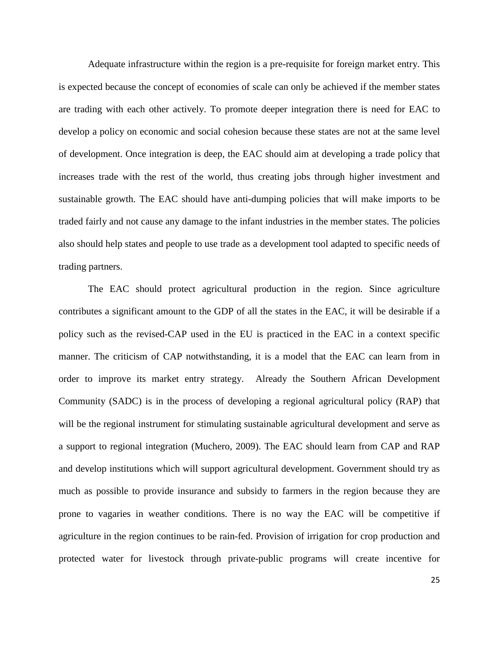Adequate infrastructure within the region is a pre-requisite for foreign market entry. This is expected because the concept of economies of scale can only be achieved if the member states are trading with each other actively. To promote deeper integration there is need for EAC to develop a policy on economic and social cohesion because these states are not at the same level of development. Once integration is deep, the EAC should aim at developing a trade policy that increases trade with the rest of the world, thus creating jobs through higher investment and sustainable growth. The EAC should have anti-dumping policies that will make imports to be traded fairly and not cause any damage to the infant industries in the member states. The policies also should help states and people to use trade as a development tool adapted to specific needs of trading partners.

The EAC should protect agricultural production in the region. Since agriculture contributes a significant amount to the GDP of all the states in the EAC, it will be desirable if a policy such as the revised-CAP used in the EU is practiced in the EAC in a context specific manner. The criticism of CAP notwithstanding, it is a model that the EAC can learn from in order to improve its market entry strategy. Already the Southern African Development Community (SADC) is in the process of developing a regional agricultural policy (RAP) that will be the regional instrument for stimulating sustainable agricultural development and serve as a support to regional integration (Muchero, 2009). The EAC should learn from CAP and RAP and develop institutions which will support agricultural development. Government should try as much as possible to provide insurance and subsidy to farmers in the region because they are prone to vagaries in weather conditions. There is no way the EAC will be competitive if agriculture in the region continues to be rain-fed. Provision of irrigation for crop production and protected water for livestock through private-public programs will create incentive for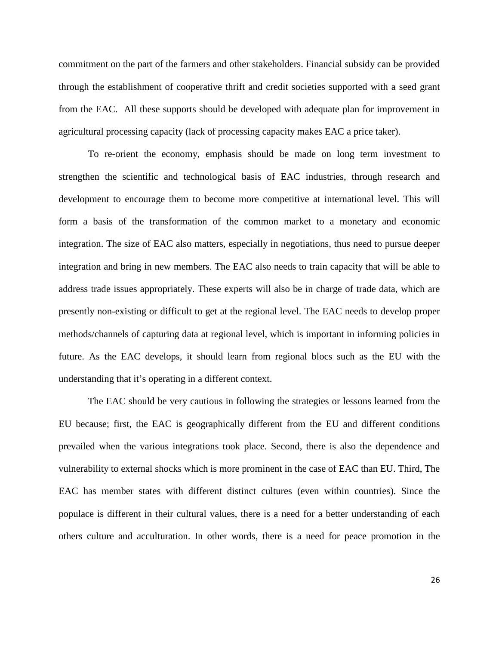commitment on the part of the farmers and other stakeholders. Financial subsidy can be provided through the establishment of cooperative thrift and credit societies supported with a seed grant from the EAC. All these supports should be developed with adequate plan for improvement in agricultural processing capacity (lack of processing capacity makes EAC a price taker).

To re-orient the economy, emphasis should be made on long term investment to strengthen the scientific and technological basis of EAC industries, through research and development to encourage them to become more competitive at international level. This will form a basis of the transformation of the common market to a monetary and economic integration. The size of EAC also matters, especially in negotiations, thus need to pursue deeper integration and bring in new members. The EAC also needs to train capacity that will be able to address trade issues appropriately. These experts will also be in charge of trade data, which are presently non-existing or difficult to get at the regional level. The EAC needs to develop proper methods/channels of capturing data at regional level, which is important in informing policies in future. As the EAC develops, it should learn from regional blocs such as the EU with the understanding that it's operating in a different context.

The EAC should be very cautious in following the strategies or lessons learned from the EU because; first, the EAC is geographically different from the EU and different conditions prevailed when the various integrations took place. Second, there is also the dependence and vulnerability to external shocks which is more prominent in the case of EAC than EU. Third, The EAC has member states with different distinct cultures (even within countries). Since the populace is different in their cultural values, there is a need for a better understanding of each others culture and acculturation. In other words, there is a need for peace promotion in the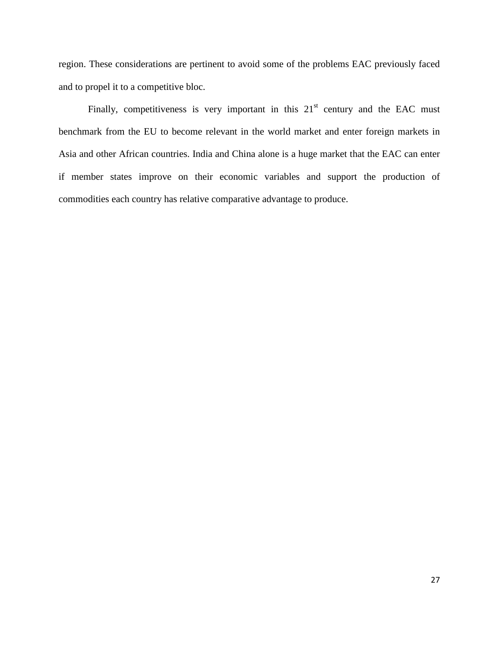region. These considerations are pertinent to avoid some of the problems EAC previously faced and to propel it to a competitive bloc.

Finally, competitiveness is very important in this  $21<sup>st</sup>$  century and the EAC must benchmark from the EU to become relevant in the world market and enter foreign markets in Asia and other African countries. India and China alone is a huge market that the EAC can enter if member states improve on their economic variables and support the production of commodities each country has relative comparative advantage to produce.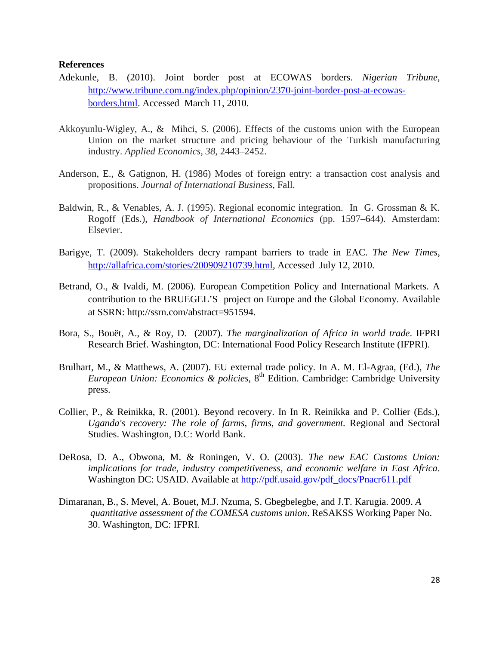## **References**

- Adekunle, B. (2010). Joint border post at ECOWAS borders. *Nigerian Tribune*, [http://www.tribune.com.ng/index.php/opinion/2370-joint-border-post-at-ecowas](http://www.tribune.com.ng/index.php/opinion/2370-joint-border-post-at-ecowas-borders.html)[borders.html.](http://www.tribune.com.ng/index.php/opinion/2370-joint-border-post-at-ecowas-borders.html) Accessed March 11, 2010.
- Akkoyunlu-Wigley, A., & Mihci, S. (2006). Effects of the customs union with the European Union on the market structure and pricing behaviour of the Turkish manufacturing industry. *Applied Economics*, *38*, 2443–2452.
- Anderson, E., & Gatignon, H. (1986) Modes of foreign entry: a transaction cost analysis and propositions. *Journal of International Business*, Fall.
- Baldwin, R., & Venables, A. J. (1995). Regional economic integration. In G. Grossman & K. Rogoff (Eds.), *Handbook of International Economics* (pp. 1597–644). Amsterdam: Elsevier.
- Barigye, T. (2009). Stakeholders decry rampant barriers to trade in EAC. *The New Times*, [http://allafrica.com/stories/200909210739.html,](http://allafrica.com/stories/200909210739.html) Accessed July 12, 2010.
- Betrand, O., & Ivaldi, M. (2006). European Competition Policy and International Markets. A contribution to the BRUEGEL'S project on Europe and the Global Economy. Available at SSRN: http://ssrn.com/abstract=951594.
- Bora, S., Bouët, A., & Roy, D. (2007). *The marginalization of Africa in world trade*. IFPRI Research Brief. Washington, DC: International Food Policy Research Institute (IFPRI).
- Brulhart, M., & Matthews, A. (2007). EU external trade policy. In A. M. El-Agraa, (Ed.), *The European Union: Economics & policies*, 8th Edition. Cambridge: Cambridge University press.
- Collier, P., & Reinikka, R. (2001). Beyond recovery. In In R. Reinikka and P. Collier (Eds.), *Uganda's recovery: The role of farms, firms, and government.* Regional and Sectoral Studies. Washington, D.C: World Bank.
- DeRosa, D. A., Obwona, M. & Roningen, V. O. (2003). *The new EAC Customs Union: implications for trade, industry competitiveness, and economic welfare in East Africa*. Washington DC: USAID. Available at [http://pdf.usaid.gov/pdf\\_docs/Pnacr611.pdf](http://pdf.usaid.gov/pdf_docs/Pnacr611.pdf)
- Dimaranan, B., S. Mevel, A. Bouet, M.J. Nzuma, S. Gbegbelegbe, and J.T. Karugia. 2009. *A quantitative assessment of the COMESA customs union*. ReSAKSS Working Paper No. 30. Washington, DC: IFPRI.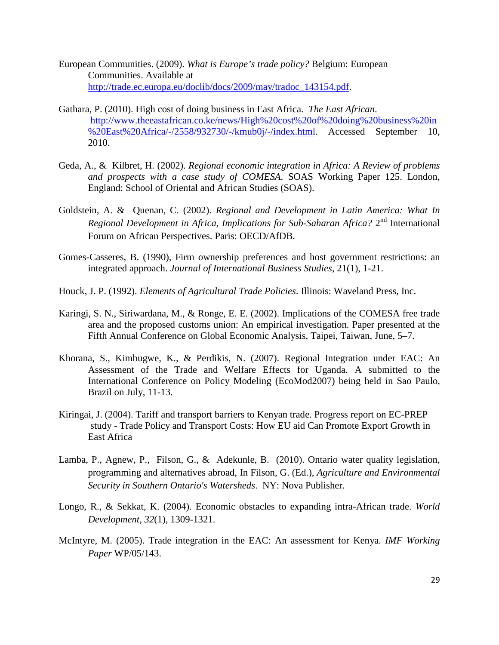- European Communities. (2009). *What is Europe's trade policy?* Belgium: European Communities. Available at [http://trade.ec.europa.eu/doclib/docs/2009/may/tradoc\\_143154.pdf.](http://trade.ec.europa.eu/doclib/docs/2009/may/tradoc_143154.pdf)
- Gathara, P. (2010). High cost of doing business in East Africa. *The East African*. [http://www.theeastafrican.co.ke/news/High%20cost%20of%20doing%20business%20in](http://www.theeastafrican.co.ke/news/High%20cost%20of%20doing%20business%20in%20East%20Africa/-/2558/932730/-/kmub0j/-/index.html) [%20East%20Africa/-/2558/932730/-/kmub0j/-/index.html.](http://www.theeastafrican.co.ke/news/High%20cost%20of%20doing%20business%20in%20East%20Africa/-/2558/932730/-/kmub0j/-/index.html) Accessed September 10, 2010.
- Geda, A., & Kilbret, H. (2002). *Regional economic integration in Africa: A Review of problems and prospects with a case study of COMESA*. SOAS Working Paper 125. London, England: School of Oriental and African Studies (SOAS).
- Goldstein, A. & Quenan, C. (2002). *Regional and Development in Latin America: What In Regional Development in Africa, Implications for Sub-Saharan Africa?* 2nd International Forum on African Perspectives. Paris: OECD/AfDB.
- Gomes-Casseres, B. (1990), Firm ownership preferences and host government restrictions: an integrated approach. *Journal of International Business Studies*, 21(1), 1-21.
- Houck, J. P. (1992). *Elements of Agricultural Trade Policies*. Illinois: Waveland Press, Inc.
- Karingi, S. N., Siriwardana, M., & Ronge, E. E. (2002). Implications of the COMESA free trade area and the proposed customs union: An empirical investigation. Paper presented at the Fifth Annual Conference on Global Economic Analysis, Taipei, Taiwan, June, 5–7.
- Khorana, S., Kimbugwe, K., & Perdikis, N. (2007). Regional Integration under EAC: An Assessment of the Trade and Welfare Effects for Uganda. A submitted to the International Conference on Policy Modeling (EcoMod2007) being held in Sao Paulo, Brazil on July, 11-13.
- Kiringai, J. (2004). Tariff and transport barriers to Kenyan trade. Progress report on EC-PREP study - Trade Policy and Transport Costs: How EU aid Can Promote Export Growth in East Africa
- Lamba, P., Agnew, P., Filson, G., & Adekunle, B. (2010). Ontario water quality legislation, programming and alternatives abroad, In Filson, G. (Ed.), *Agriculture and Environmental Security in Southern Ontario's Watersheds*. NY: Nova Publisher.
- Longo, R., & Sekkat, K. (2004). Economic obstacles to expanding intra-African trade. *World Development, 32*(1), 1309-1321.
- McIntyre, M. (2005). Trade integration in the EAC: An assessment for Kenya. *IMF Working Paper* WP/05/143.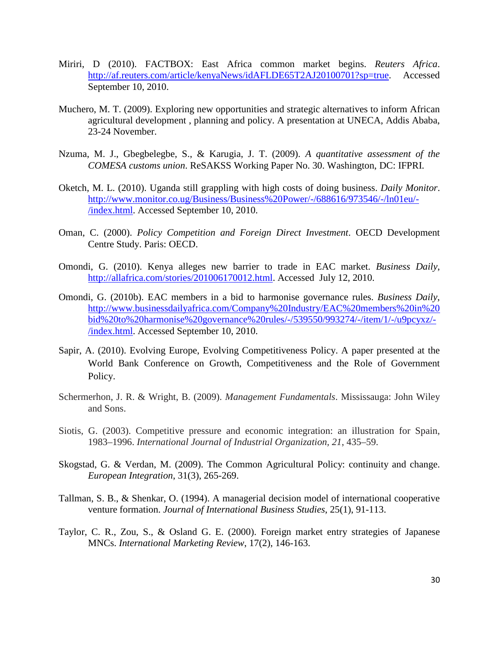- Miriri, D (2010). FACTBOX: East Africa common market begins. *Reuters Africa*. [http://af.reuters.com/article/kenyaNews/idAFLDE65T2AJ20100701?sp=true.](http://af.reuters.com/article/kenyaNews/idAFLDE65T2AJ20100701?sp=true) Accessed September 10, 2010.
- Muchero, M. T. (2009). Exploring new opportunities and strategic alternatives to inform African agricultural development , planning and policy. A presentation at UNECA, Addis Ababa, 23-24 November.
- Nzuma, M. J., Gbegbelegbe, S., & Karugia, J. T. (2009). *A quantitative assessment of the COMESA customs union*. ReSAKSS Working Paper No. 30. Washington, DC: IFPRI.
- Oketch, M. L. (2010). Uganda still grappling with high costs of doing business. *Daily Monitor*. [http://www.monitor.co.ug/Business/Business%20Power/-/688616/973546/-/ln01eu/-](http://www.monitor.co.ug/Business/Business%20Power/-/688616/973546/-/ln01eu/-/index.html) [/index.html.](http://www.monitor.co.ug/Business/Business%20Power/-/688616/973546/-/ln01eu/-/index.html) Accessed September 10, 2010.
- Oman, C. (2000). *Policy Competition and Foreign Direct Investment*. OECD Development Centre Study. Paris: OECD.
- Omondi, G. (2010). Kenya alleges new barrier to trade in EAC market. *Business Daily*, [http://allafrica.com/stories/201006170012.html.](http://allafrica.com/stories/201006170012.html) Accessed July 12, 2010.
- Omondi, G. (2010b). EAC members in a bid to harmonise governance rules. *Business Daily*, [http://www.businessdailyafrica.com/Company%20Industry/EAC%20members%20in%20](http://www.businessdailyafrica.com/Company%20Industry/EAC%20members%20in%20bid%20to%20harmonise%20governance%20rules/-/539550/993274/-/item/1/-/u9pcyxz/-/index.html) [bid%20to%20harmonise%20governance%20rules/-/539550/993274/-/item/1/-/u9pcyxz/-](http://www.businessdailyafrica.com/Company%20Industry/EAC%20members%20in%20bid%20to%20harmonise%20governance%20rules/-/539550/993274/-/item/1/-/u9pcyxz/-/index.html) [/index.html.](http://www.businessdailyafrica.com/Company%20Industry/EAC%20members%20in%20bid%20to%20harmonise%20governance%20rules/-/539550/993274/-/item/1/-/u9pcyxz/-/index.html) Accessed September 10, 2010.
- Sapir, A. (2010). Evolving Europe, Evolving Competitiveness Policy. A paper presented at the World Bank Conference on Growth, Competitiveness and the Role of Government Policy.
- Schermerhon, J. R. & Wright, B. (2009). *Management Fundamentals*. Mississauga: John Wiley and Sons.
- Siotis, G. (2003). Competitive pressure and economic integration: an illustration for Spain, 1983–1996. *International Journal of Industrial Organization, 21*, 435–59.
- Skogstad, G. & Verdan, M. (2009). The Common Agricultural Policy: continuity and change. *European Integration*, 31(3), 265-269.
- Tallman, S. B., & Shenkar, O. (1994). A managerial decision model of international cooperative venture formation. *Journal of International Business Studies*, 25(1), 91-113.
- Taylor, C. R., Zou, S., & Osland G. E. (2000). Foreign market entry strategies of Japanese MNCs. *International Marketing Review*, 17(2), 146-163.